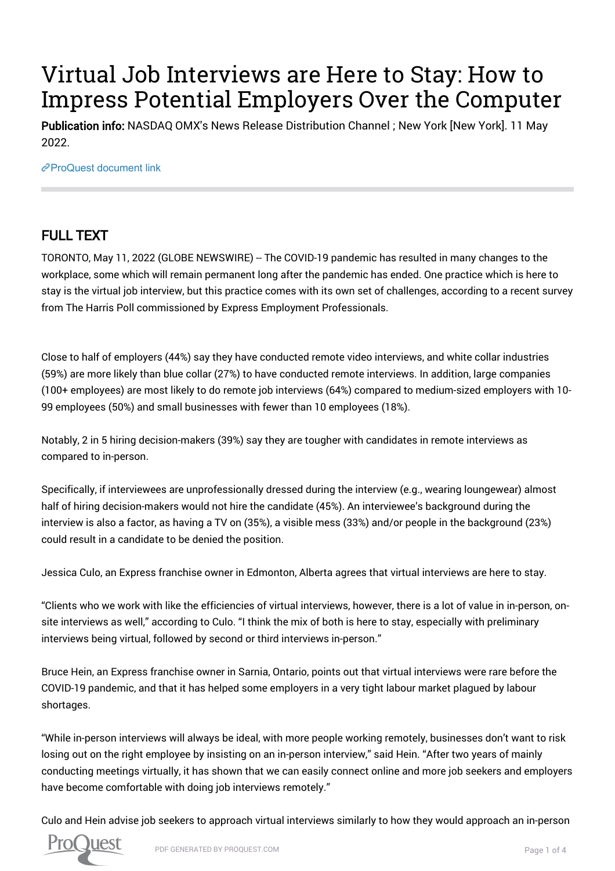# Virtual Job Interviews are Here to Stay: How to Impress Potential Employers Over the Computer

Publication info: NASDAQ OMX's News Release Distribution Channel ; New York [New York]. 11 May 2022.

[ProQuest document link](https://www.proquest.com/wire-feeds/virtual-job-interviews-are-here-stay-how-impress/docview/2661903528/se-2?accountid=44910)

## FULL TEXT

TORONTO, May 11, 2022 (GLOBE NEWSWIRE) -- The COVID-19 pandemic has resulted in many changes to the workplace, some which will remain permanent long after the pandemic has ended. One practice which is here to stay is the virtual job interview, but this practice comes with its own set of challenges, according to a recent survey from The Harris Poll commissioned by Express Employment Professionals.

Close to half of employers (44%) say they have conducted remote video interviews, and white collar industries (59%) are more likely than blue collar (27%) to have conducted remote interviews. In addition, large companies (100+ employees) are most likely to do remote job interviews (64%) compared to medium-sized employers with 10- 99 employees (50%) and small businesses with fewer than 10 employees (18%).

Notably, 2 in 5 hiring decision-makers (39%) say they are tougher with candidates in remote interviews as compared to in-person.

Specifically, if interviewees are unprofessionally dressed during the interview (e.g., wearing loungewear) almost half of hiring decision-makers would not hire the candidate (45%). An interviewee's background during the interview is also a factor, as having a TV on (35%), a visible mess (33%) and/or people in the background (23%) could result in a candidate to be denied the position.

Jessica Culo, an Express franchise owner in Edmonton, Alberta agrees that virtual interviews are here to stay.

"Clients who we work with like the efficiencies of virtual interviews, however, there is a lot of value in in-person, onsite interviews as well," according to Culo. "I think the mix of both is here to stay, especially with preliminary interviews being virtual, followed by second or third interviews in-person."

Bruce Hein, an Express franchise owner in Sarnia, Ontario, points out that virtual interviews were rare before the COVID-19 pandemic, and that it has helped some employers in a very tight labour market plagued by labour shortages.

"While in-person interviews will always be ideal, with more people working remotely, businesses don't want to risk losing out on the right employee by insisting on an in-person interview," said Hein. "After two years of mainly conducting meetings virtually, it has shown that we can easily connect online and more job seekers and employers have become comfortable with doing job interviews remotely."

Culo and Hein advise job seekers to approach virtual interviews similarly to how they would approach an in-person

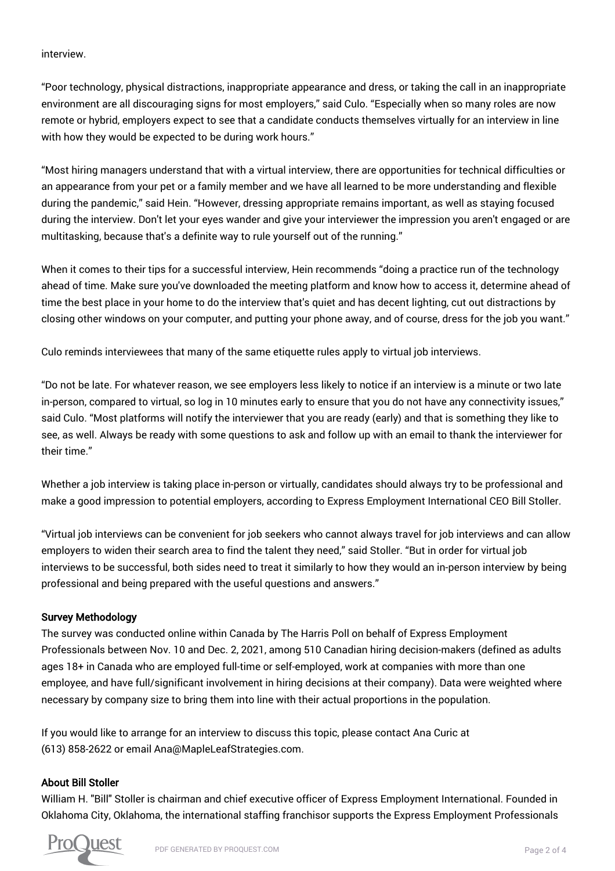interview.

"Poor technology, physical distractions, inappropriate appearance and dress, or taking the call in an inappropriate environment are all discouraging signs for most employers," said Culo. "Especially when so many roles are now remote or hybrid, employers expect to see that a candidate conducts themselves virtually for an interview in line with how they would be expected to be during work hours."

"Most hiring managers understand that with a virtual interview, there are opportunities for technical difficulties or an appearance from your pet or a family member and we have all learned to be more understanding and flexible during the pandemic," said Hein. "However, dressing appropriate remains important, as well as staying focused during the interview. Don't let your eyes wander and give your interviewer the impression you aren't engaged or are multitasking, because that's a definite way to rule yourself out of the running."

When it comes to their tips for a successful interview, Hein recommends "doing a practice run of the technology ahead of time. Make sure you've downloaded the meeting platform and know how to access it, determine ahead of time the best place in your home to do the interview that's quiet and has decent lighting, cut out distractions by closing other windows on your computer, and putting your phone away, and of course, dress for the job you want."

Culo reminds interviewees that many of the same etiquette rules apply to virtual job interviews.

"Do not be late. For whatever reason, we see employers less likely to notice if an interview is a minute or two late in-person, compared to virtual, so log in 10 minutes early to ensure that you do not have any connectivity issues," said Culo. "Most platforms will notify the interviewer that you are ready (early) and that is something they like to see, as well. Always be ready with some questions to ask and follow up with an email to thank the interviewer for their time."

Whether a job interview is taking place in-person or virtually, candidates should always try to be professional and make a good impression to potential employers, according to Express Employment International CEO Bill Stoller.

"Virtual job interviews can be convenient for job seekers who cannot always travel for job interviews and can allow employers to widen their search area to find the talent they need," said Stoller. "But in order for virtual job interviews to be successful, both sides need to treat it similarly to how they would an in-person interview by being professional and being prepared with the useful questions and answers."

#### Survey Methodology

The survey was conducted online within Canada by The Harris Poll on behalf of Express Employment Professionals between Nov. 10 and Dec. 2, 2021, among 510 Canadian hiring decision-makers (defined as adults ages 18+ in Canada who are employed full-time or self-employed, work at companies with more than one employee, and have full/significant involvement in hiring decisions at their company). Data were weighted where necessary by company size to bring them into line with their actual proportions in the population.

If you would like to arrange for an interview to discuss this topic, please contact Ana Curic at (613) 858-2622 or email Ana@MapleLeafStrategies.com.

#### About Bill Stoller

William H. "Bill" Stoller is chairman and chief executive officer of Express Employment International. Founded in Oklahoma City, Oklahoma, the international staffing franchisor supports the Express Employment Professionals

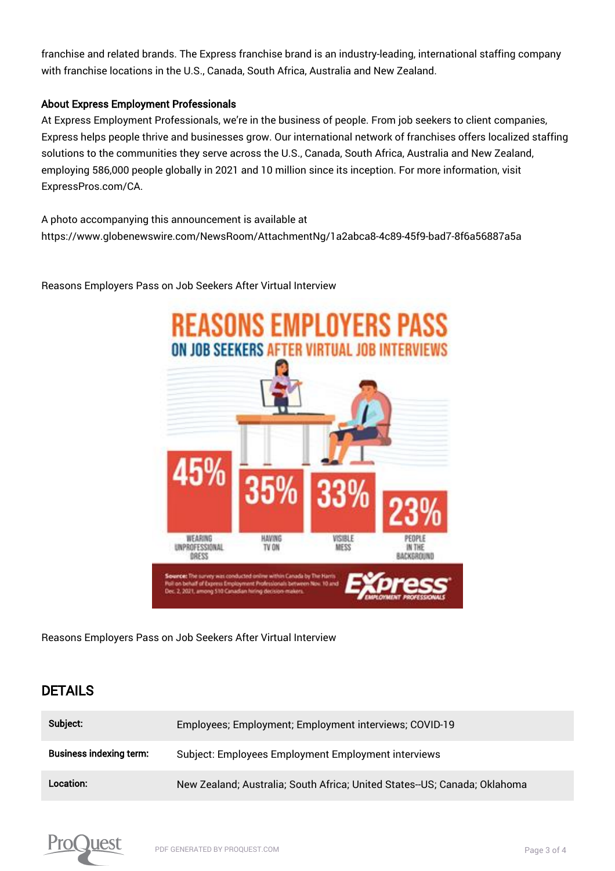franchise and related brands. The Express franchise brand is an industry-leading, international staffing company with franchise locations in the U.S., Canada, South Africa, Australia and New Zealand.

#### About Express Employment Professionals

At Express Employment Professionals, we're in the business of people. From job seekers to client companies, Express helps people thrive and businesses grow. Our international network of franchises offers localized staffing solutions to the communities they serve across the U.S., Canada, South Africa, Australia and New Zealand, employing 586,000 people globally in 2021 and 10 million since its inception. For more information, visit ExpressPros.com/CA.

A photo accompanying this announcement is available at https://www.globenewswire.com/NewsRoom/AttachmentNg/1a2abca8-4c89-45f9-bad7-8f6a56887a5a

> Reasons Employers Pass ON JOB SEEKERS AFTER VIRTUAL JOB INTERVIEWS **HEARING HAVING** VISIBLE UNPROFESSIONAL TV ON MESS IN THE DRESS BACKEROUND

Reasons Employers Pass on Job Seekers After Virtual Interview

Reasons Employers Pass on Job Seekers After Virtual Interview

### DETAILS

| Subject:                       | Employees; Employment; Employment interviews; COVID-19                    |
|--------------------------------|---------------------------------------------------------------------------|
| <b>Business indexing term:</b> | Subject: Employees Employment Employment interviews                       |
| Location:                      | New Zealand; Australia; South Africa; United States--US; Canada; Oklahoma |